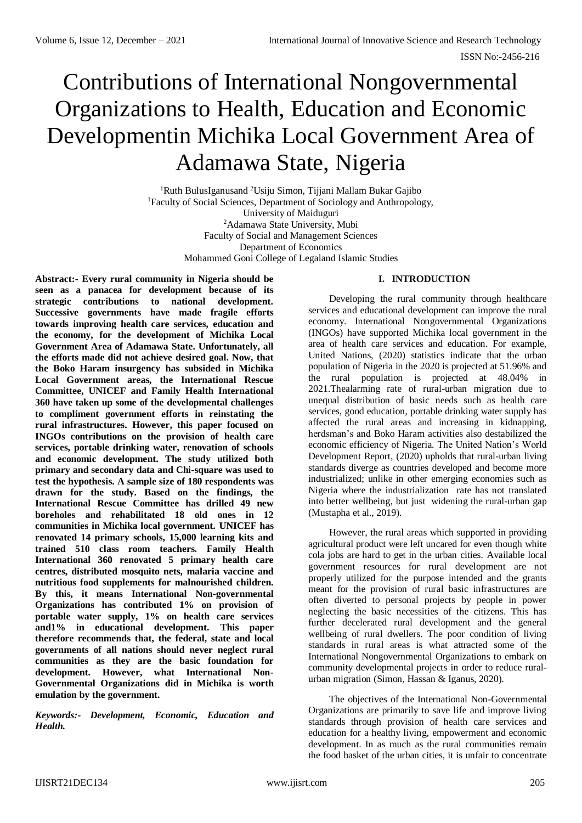# Contributions of International Nongovernmental Organizations to Health, Education and Economic Developmentin Michika Local Government Area of Adamawa State, Nigeria

<sup>1</sup>Ruth BulusIganusand <sup>2</sup>Usiju Simon, Tijjani Mallam Bukar Gajibo <sup>1</sup>Faculty of Social Sciences, Department of Sociology and Anthropology, University of Maiduguri <sup>2</sup>Adamawa State University, Mubi Faculty of Social and Management Sciences Department of Economics Mohammed Goni College of Legaland Islamic Studies

## **I. INTRODUCTION**

**Abstract:- Every rural community in Nigeria should be seen as a panacea for development because of its strategic contributions to national development. Successive governments have made fragile efforts towards improving health care services, education and the economy, for the development of Michika Local Government Area of Adamawa State. Unfortunately, all the efforts made did not achieve desired goal. Now, that the Boko Haram insurgency has subsided in Michika Local Government areas, the International Rescue Committee, UNICEF and Family Health International 360 have taken up some of the developmental challenges to compliment government efforts in reinstating the rural infrastructures. However, this paper focused on INGOs contributions on the provision of health care services, portable drinking water, renovation of schools and economic development. The study utilized both primary and secondary data and Chi-square was used to test the hypothesis. A sample size of 180 respondents was drawn for the study. Based on the findings, the International Rescue Committee has drilled 49 new boreholes and rehabilitated 18 old ones in 12 communities in Michika local government. UNICEF has renovated 14 primary schools, 15,000 learning kits and trained 510 class room teachers. Family Health International 360 renovated 5 primary health care centres, distributed mosquito nets, malaria vaccine and nutritious food supplements for malnourished children. By this, it means International Non-governmental Organizations has contributed 1% on provision of portable water supply, 1% on health care services and1% in educational development. This paper therefore recommends that, the federal, state and local governments of all nations should never neglect rural communities as they are the basic foundation for development. However, what International Non-Governmental Organizations did in Michika is worth emulation by the government.**

*Keywords:- Development, Economic, Education and Health.*

Developing the rural community through healthcare services and educational development can improve the rural economy. International Nongovernmental Organizations (INGOs) have supported Michika local government in the area of health care services and education. For example, United Nations, (2020) statistics indicate that the urban population of Nigeria in the 2020 is projected at 51.96% and the rural population is projected at 48.04% in 2021.Thealarming rate of rural-urban migration due to unequal distribution of basic needs such as health care services, good education, portable drinking water supply has affected the rural areas and increasing in kidnapping, herdsman's and Boko Haram activities also destabilized the economic efficiency of Nigeria. The United Nation's World Development Report, (2020) upholds that rural-urban living standards diverge as countries developed and become more industrialized; unlike in other emerging economies such as Nigeria where the industrialization rate has not translated into better wellbeing, but just widening the rural-urban gap (Mustapha et al., 2019).

However, the rural areas which supported in providing agricultural product were left uncared for even though white cola jobs are hard to get in the urban cities. Available local government resources for rural development are not properly utilized for the purpose intended and the grants meant for the provision of rural basic infrastructures are often diverted to personal projects by people in power neglecting the basic necessities of the citizens. This has further decelerated rural development and the general wellbeing of rural dwellers. The poor condition of living standards in rural areas is what attracted some of the International Nongovernmental Organizations to embark on community developmental projects in order to reduce ruralurban migration (Simon, Hassan & Iganus, 2020).

The objectives of the International Non-Governmental Organizations are primarily to save life and improve living standards through provision of health care services and education for a healthy living, empowerment and economic development. In as much as the rural communities remain the food basket of the urban cities, it is unfair to concentrate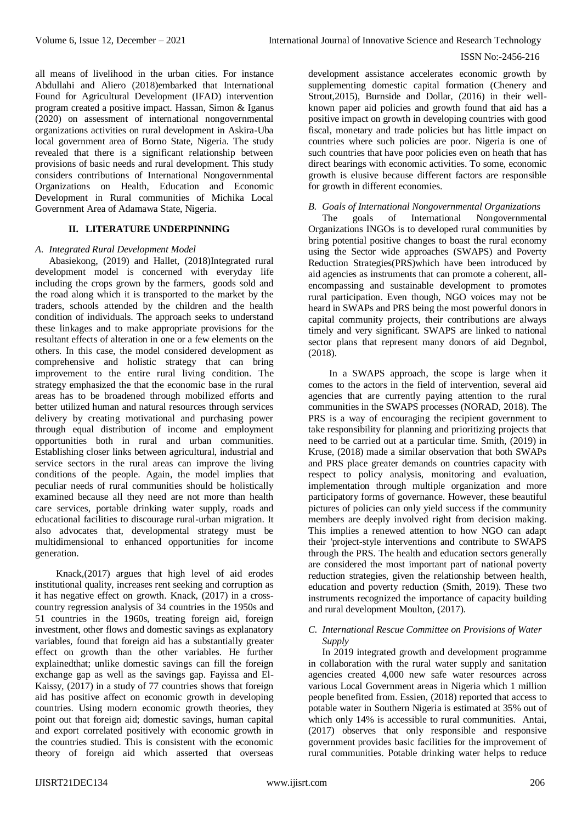all means of livelihood in the urban cities. For instance Abdullahi and Aliero (2018)embarked that International Found for Agricultural Development (IFAD) intervention program created a positive impact. Hassan, Simon & Iganus (2020) on assessment of international nongovernmental organizations activities on rural development in Askira-Uba local government area of Borno State, Nigeria. The study revealed that there is a significant relationship between provisions of basic needs and rural development. This study considers contributions of International Nongovernmental Organizations on Health, Education and Economic Development in Rural communities of Michika Local Government Area of Adamawa State, Nigeria.

## **II. LITERATURE UNDERPINNING**

## *A. Integrated Rural Development Model*

Abasiekong, (2019) and Hallet, (2018)Integrated rural development model is concerned with everyday life including the crops grown by the farmers, goods sold and the road along which it is transported to the market by the traders, schools attended by the children and the health condition of individuals. The approach seeks to understand these linkages and to make appropriate provisions for the resultant effects of alteration in one or a few elements on the others. In this case, the model considered development as comprehensive and holistic strategy that can bring improvement to the entire rural living condition. The strategy emphasized the that the economic base in the rural areas has to be broadened through mobilized efforts and better utilized human and natural resources through services delivery by creating motivational and purchasing power through equal distribution of income and employment opportunities both in rural and urban communities. Establishing closer links between agricultural, industrial and service sectors in the rural areas can improve the living conditions of the people. Again, the model implies that peculiar needs of rural communities should be holistically examined because all they need are not more than health care services, portable drinking water supply, roads and educational facilities to discourage rural-urban migration. It also advocates that, developmental strategy must be multidimensional to enhanced opportunities for income generation.

Knack,(2017) argues that high level of aid erodes institutional quality, increases rent seeking and corruption as it has negative effect on growth. Knack, (2017) in a crosscountry regression analysis of 34 countries in the 1950s and 51 countries in the 1960s, treating foreign aid, foreign investment, other flows and domestic savings as explanatory variables, found that foreign aid has a substantially greater effect on growth than the other variables. He further explainedthat; unlike domestic savings can fill the foreign exchange gap as well as the savings gap. Fayissa and El-Kaissy, (2017) in a study of 77 countries shows that foreign aid has positive affect on economic growth in developing countries. Using modern economic growth theories, they point out that foreign aid; domestic savings, human capital and export correlated positively with economic growth in the countries studied. This is consistent with the economic theory of foreign aid which asserted that overseas

development assistance accelerates economic growth by supplementing domestic capital formation (Chenery and Strout,2015), Burnside and Dollar, (2016) in their wellknown paper aid policies and growth found that aid has a positive impact on growth in developing countries with good fiscal, monetary and trade policies but has little impact on countries where such policies are poor. Nigeria is one of such countries that have poor policies even on heath that has direct bearings with economic activities. To some, economic growth is elusive because different factors are responsible for growth in different economies.

#### *B. Goals of International Nongovernmental Organizations*

The goals of International Nongovernmental Organizations INGOs is to developed rural communities by bring potential positive changes to boast the rural economy using the Sector wide approaches (SWAPS) and Poverty Reduction Strategies(PRS)which have been introduced by aid agencies as instruments that can promote a coherent, allencompassing and sustainable development to promotes rural participation. Even though, NGO voices may not be heard in SWAPs and PRS being the most powerful donors in capital community projects, their contributions are always timely and very significant. SWAPS are linked to national sector plans that represent many donors of aid Degnbol, (2018).

In a SWAPS approach, the scope is large when it comes to the actors in the field of intervention, several aid agencies that are currently paying attention to the rural communities in the SWAPS processes (NORAD, 2018). The PRS is a way of encouraging the recipient government to take responsibility for planning and prioritizing projects that need to be carried out at a particular time. Smith, (2019) in Kruse, (2018) made a similar observation that both SWAPs and PRS place greater demands on countries capacity with respect to policy analysis, monitoring and evaluation, implementation through multiple organization and more participatory forms of governance. However, these beautiful pictures of policies can only yield success if the community members are deeply involved right from decision making. This implies a renewed attention to how NGO can adapt their 'project-style interventions and contribute to SWAPS through the PRS. The health and education sectors generally are considered the most important part of national poverty reduction strategies, given the relationship between health, education and poverty reduction (Smith, 2019). These two instruments recognized the importance of capacity building and rural development Moulton, (2017).

#### *C. International Rescue Committee on Provisions of Water Supply*

In 2019 integrated growth and development programme in collaboration with the rural water supply and sanitation agencies created 4,000 new safe water resources across various Local Government areas in Nigeria which 1 million people benefited from. Essien, (2018) reported that access to potable water in Southern Nigeria is estimated at 35% out of which only 14% is accessible to rural communities. Antai, (2017) observes that only responsible and responsive government provides basic facilities for the improvement of rural communities. Potable drinking water helps to reduce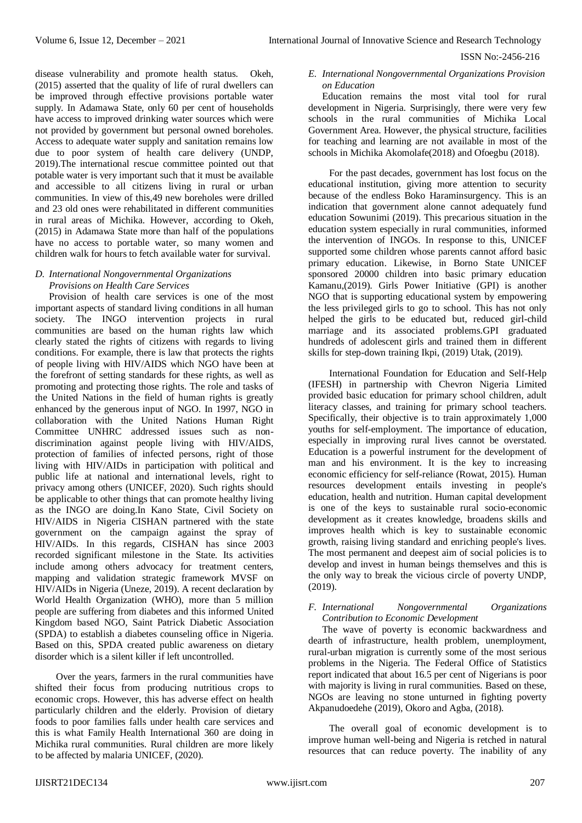disease vulnerability and promote health status. Okeh, (2015) asserted that the quality of life of rural dwellers can be improved through effective provisions portable water supply. In Adamawa State, only 60 per cent of households have access to improved drinking water sources which were not provided by government but personal owned boreholes. Access to adequate water supply and sanitation remains low due to poor system of health care delivery (UNDP, 2019).The international rescue committee pointed out that potable water is very important such that it must be available and accessible to all citizens living in rural or urban communities. In view of this,49 new boreholes were drilled and 23 old ones were rehabilitated in different communities in rural areas of Michika. However, according to Okeh, (2015) in Adamawa State more than half of the populations have no access to portable water, so many women and children walk for hours to fetch available water for survival.

## *D. International Nongovernmental Organizations Provisions on Health Care Services*

Provision of health care services is one of the most important aspects of standard living conditions in all human society. The INGO intervention projects in rural communities are based on the human rights law which clearly stated the rights of citizens with regards to living conditions. For example, there is law that protects the rights of people living with HIV/AIDS which NGO have been at the forefront of setting standards for these rights, as well as promoting and protecting those rights. The role and tasks of the United Nations in the field of human rights is greatly enhanced by the generous input of NGO. In 1997, NGO in collaboration with the United Nations Human Right Committee UNHRC addressed issues such as nondiscrimination against people living with HIV/AIDS, protection of families of infected persons, right of those living with HIV/AIDs in participation with political and public life at national and international levels, right to privacy among others (UNICEF, 2020). Such rights should be applicable to other things that can promote healthy living as the INGO are doing.In Kano State, Civil Society on HIV/AIDS in Nigeria CISHAN partnered with the state government on the campaign against the spray of HIV/AIDs. In this regards, CISHAN has since 2003 recorded significant milestone in the State. Its activities include among others advocacy for treatment centers, mapping and validation strategic framework MVSF on HIV/AIDs in Nigeria (Uneze, 2019). A recent declaration by World Health Organization (WHO), more than 5 million people are suffering from diabetes and this informed United Kingdom based NGO, Saint Patrick Diabetic Association (SPDA) to establish a diabetes counseling office in Nigeria. Based on this, SPDA created public awareness on dietary disorder which is a silent killer if left uncontrolled.

Over the years, farmers in the rural communities have shifted their focus from producing nutritious crops to economic crops. However, this has adverse effect on health particularly children and the elderly. Provision of dietary foods to poor families falls under health care services and this is what Family Health International 360 are doing in Michika rural communities. Rural children are more likely to be affected by malaria UNICEF, (2020).

# *E. International Nongovernmental Organizations Provision on Education*

Education remains the most vital tool for rural development in Nigeria. Surprisingly, there were very few schools in the rural communities of Michika Local Government Area. However, the physical structure, facilities for teaching and learning are not available in most of the schools in Michika Akomolafe(2018) and Ofoegbu (2018).

For the past decades, government has lost focus on the educational institution, giving more attention to security because of the endless Boko Haraminsurgency. This is an indication that government alone cannot adequately fund education Sowunimi (2019). This precarious situation in the education system especially in rural communities, informed the intervention of INGOs. In response to this, UNICEF supported some children whose parents cannot afford basic primary education. Likewise, in Borno State UNICEF sponsored 20000 children into basic primary education Kamanu,(2019). Girls Power Initiative (GPI) is another NGO that is supporting educational system by empowering the less privileged girls to go to school. This has not only helped the girls to be educated but, reduced girl-child marriage and its associated problems.GPI graduated hundreds of adolescent girls and trained them in different skills for step-down training Ikpi, (2019) Utak, (2019).

International Foundation for Education and Self-Help (IFESH) in partnership with Chevron Nigeria Limited provided basic education for primary school children, adult literacy classes, and training for primary school teachers. Specifically, their objective is to train approximately 1,000 youths for self-employment. The importance of education, especially in improving rural lives cannot be overstated. Education is a powerful instrument for the development of man and his environment. It is the key to increasing economic efficiency for self-reliance (Rowat, 2015). Human resources development entails investing in people's education, health and nutrition. Human capital development is one of the keys to sustainable rural socio-economic development as it creates knowledge, broadens skills and improves health which is key to sustainable economic growth, raising living standard and enriching people's lives. The most permanent and deepest aim of social policies is to develop and invest in human beings themselves and this is the only way to break the vicious circle of poverty UNDP, (2019).

# *F. International Nongovernmental Organizations Contribution to Economic Development*

The wave of poverty is economic backwardness and dearth of infrastructure, health problem, unemployment, rural-urban migration is currently some of the most serious problems in the Nigeria. The Federal Office of Statistics report indicated that about 16.5 per cent of Nigerians is poor with majority is living in rural communities. Based on these, NGOs are leaving no stone unturned in fighting poverty Akpanudoedehe (2019), Okoro and Agba, (2018).

The overall goal of economic development is to improve human well-being and Nigeria is retched in natural resources that can reduce poverty. The inability of any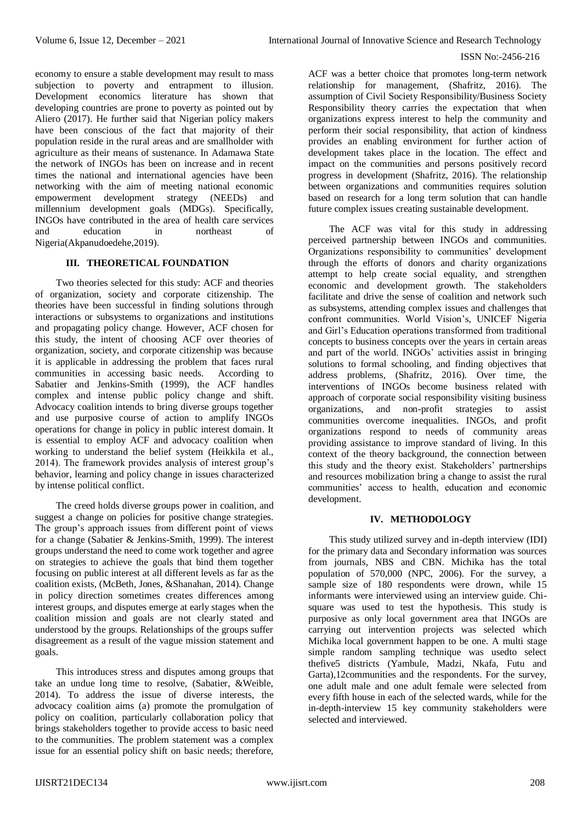economy to ensure a stable development may result to mass subjection to poverty and entrapment to illusion. Development economics literature has shown that developing countries are prone to poverty as pointed out by Aliero (2017). He further said that Nigerian policy makers have been conscious of the fact that majority of their population reside in the rural areas and are smallholder with agriculture as their means of sustenance. In Adamawa State the network of INGOs has been on increase and in recent times the national and international agencies have been networking with the aim of meeting national economic empowerment development strategy (NEEDs) and millennium development goals (MDGs). Specifically, INGOs have contributed in the area of health care services and education in northeast Nigeria(Akpanudoedehe,2019).

# **III. THEORETICAL FOUNDATION**

Two theories selected for this study: ACF and theories of organization, society and corporate citizenship. The theories have been successful in finding solutions through interactions or subsystems to organizations and institutions and propagating policy change. However, ACF chosen for this study, the intent of choosing ACF over theories of organization, society, and corporate citizenship was because it is applicable in addressing the problem that faces rural communities in accessing basic needs. According to Sabatier and Jenkins-Smith (1999), the ACF handles complex and intense public policy change and shift. Advocacy coalition intends to bring diverse groups together and use purposive course of action to amplify INGOs operations for change in policy in public interest domain. It is essential to employ ACF and advocacy coalition when working to understand the belief system (Heikkila et al., 2014). The framework provides analysis of interest group's behavior, learning and policy change in issues characterized by intense political conflict.

The creed holds diverse groups power in coalition, and suggest a change on policies for positive change strategies. The group's approach issues from different point of views for a change (Sabatier & Jenkins-Smith, 1999). The interest groups understand the need to come work together and agree on strategies to achieve the goals that bind them together focusing on public interest at all different levels as far as the coalition exists, (McBeth, Jones, &Shanahan, 2014). Change in policy direction sometimes creates differences among interest groups, and disputes emerge at early stages when the coalition mission and goals are not clearly stated and understood by the groups. Relationships of the groups suffer disagreement as a result of the vague mission statement and goals.

This introduces stress and disputes among groups that take an undue long time to resolve, (Sabatier, &Weible, 2014). To address the issue of diverse interests, the advocacy coalition aims (a) promote the promulgation of policy on coalition, particularly collaboration policy that brings stakeholders together to provide access to basic need to the communities. The problem statement was a complex issue for an essential policy shift on basic needs; therefore,

ACF was a better choice that promotes long-term network relationship for management, (Shafritz, 2016). The assumption of Civil Society Responsibility/Business Society Responsibility theory carries the expectation that when organizations express interest to help the community and perform their social responsibility, that action of kindness provides an enabling environment for further action of development takes place in the location. The effect and impact on the communities and persons positively record progress in development (Shafritz, 2016). The relationship between organizations and communities requires solution based on research for a long term solution that can handle future complex issues creating sustainable development.

The ACF was vital for this study in addressing perceived partnership between INGOs and communities. Organizations responsibility to communities' development through the efforts of donors and charity organizations attempt to help create social equality, and strengthen economic and development growth. The stakeholders facilitate and drive the sense of coalition and network such as subsystems, attending complex issues and challenges that confront communities. World Vision's, UNICEF Nigeria and Girl's Education operations transformed from traditional concepts to business concepts over the years in certain areas and part of the world. INGOs' activities assist in bringing solutions to formal schooling, and finding objectives that address problems, (Shafritz, 2016). Over time, the interventions of INGOs become business related with approach of corporate social responsibility visiting business organizations, and non-profit strategies to assist communities overcome inequalities. INGOs, and profit organizations respond to needs of community areas providing assistance to improve standard of living. In this context of the theory background, the connection between this study and the theory exist. Stakeholders' partnerships and resources mobilization bring a change to assist the rural communities' access to health, education and economic development.

## **IV. METHODOLOGY**

This study utilized survey and in-depth interview (IDI) for the primary data and Secondary information was sources from journals, NBS and CBN. Michika has the total population of 570,000 (NPC, 2006). For the survey, a sample size of 180 respondents were drown, while 15 informants were interviewed using an interview guide. Chisquare was used to test the hypothesis. This study is purposive as only local government area that INGOs are carrying out intervention projects was selected which Michika local government happen to be one. A multi stage simple random sampling technique was usedto select thefive5 districts (Yambule, Madzi, Nkafa, Futu and Garta),12communities and the respondents. For the survey, one adult male and one adult female were selected from every fifth house in each of the selected wards, while for the in-depth-interview 15 key community stakeholders were selected and interviewed.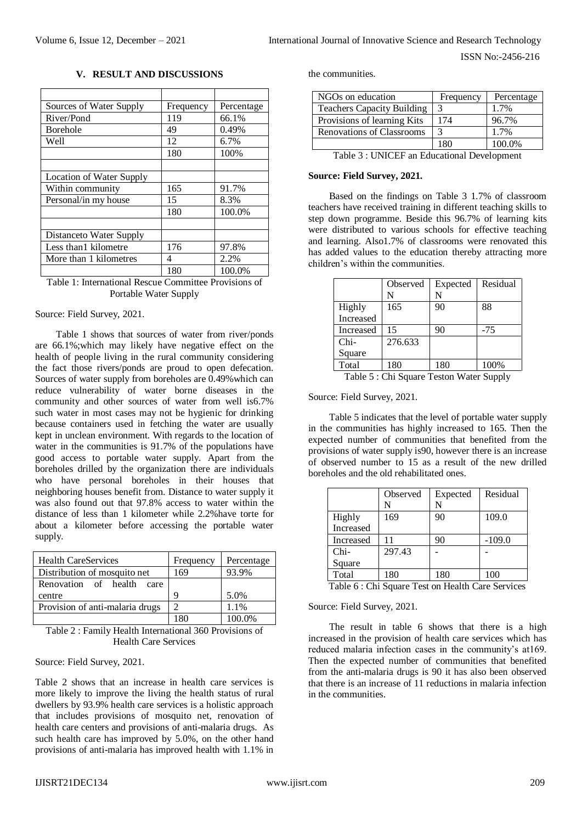ISSN No:-2456-216

#### **V. RESULT AND DISCUSSIONS**

| Sources of Water Supply  | Frequency | Percentage |
|--------------------------|-----------|------------|
| River/Pond               | 119       | 66.1%      |
| <b>Borehole</b>          | 49        | 0.49%      |
| Well                     | 12        | 6.7%       |
|                          | 180       | 100%       |
|                          |           |            |
| Location of Water Supply |           |            |
| Within community         | 165       | 91.7%      |
| Personal/in my house     | 15        | 8.3%       |
|                          | 180       | 100.0%     |
|                          |           |            |
| Distanceto Water Supply  |           |            |
| Less than 1 kilometre    | 176       | 97.8%      |
| More than 1 kilometres   | 4         | 2.2%       |
|                          | 180       | 100.0%     |

Table 1: International Rescue Committee Provisions of Portable Water Supply

#### Source: Field Survey, 2021.

Table 1 shows that sources of water from river/ponds are 66.1%;which may likely have negative effect on the health of people living in the rural community considering the fact those rivers/ponds are proud to open defecation. Sources of water supply from boreholes are 0.49% which can reduce vulnerability of water borne diseases in the community and other sources of water from well is6.7% such water in most cases may not be hygienic for drinking because containers used in fetching the water are usually kept in unclean environment. With regards to the location of water in the communities is 91.7% of the populations have good access to portable water supply. Apart from the boreholes drilled by the organization there are individuals who have personal boreholes in their houses that neighboring houses benefit from. Distance to water supply it was also found out that 97.8% access to water within the distance of less than 1 kilometer while 2.2%have torte for about a kilometer before accessing the portable water supply.

| <b>Health CareServices</b>      | Frequency | Percentage |
|---------------------------------|-----------|------------|
| Distribution of mosquito net    | 169       | 93.9%      |
| Renovation of health<br>care    |           |            |
| centre                          |           | 5.0%       |
| Provision of anti-malaria drugs |           | 1.1%       |
|                                 |           | 100.0%     |

Table 2 : Family Health International 360 Provisions of Health Care Services

Source: Field Survey, 2021.

Table 2 shows that an increase in health care services is more likely to improve the living the health status of rural dwellers by 93.9% health care services is a holistic approach that includes provisions of mosquito net, renovation of health care centers and provisions of anti-malaria drugs. As such health care has improved by 5.0%, on the other hand provisions of anti-malaria has improved health with 1.1% in

the communities.

| NGOs on education                 | Frequency | Percentage |
|-----------------------------------|-----------|------------|
| <b>Teachers Capacity Building</b> | 3         | 1.7%       |
| Provisions of learning Kits       | 174       | 96.7%      |
| Renovations of Classrooms         | 3         | 1.7%       |
|                                   | 1 R.O     | 100.0%     |

| Table 3 : UNICEF an Educational Development |  |
|---------------------------------------------|--|
|---------------------------------------------|--|

# **Source: Field Survey, 2021.**

Based on the findings on Table 3 1.7% of classroom teachers have received training in different teaching skills to step down programme. Beside this 96.7% of learning kits were distributed to various schools for effective teaching and learning. Also1.7% of classrooms were renovated this has added values to the education thereby attracting more children's within the communities.

| Observed | Expected<br>N | Residual |
|----------|---------------|----------|
| 165      | 90            | 88       |
|          |               |          |
| 15       | 90            | $-75$    |
| 276.633  |               |          |
|          |               |          |
| 180      | 180           | 100%     |
|          |               |          |

Table 5 : Chi Square Teston Water Supply

Source: Field Survey, 2021.

Table 5 indicates that the level of portable water supply in the communities has highly increased to 165. Then the expected number of communities that benefited from the provisions of water supply is90, however there is an increase of observed number to 15 as a result of the new drilled boreholes and the old rehabilitated ones.

|                                                                                                                             | Observed | Expected | Residual |
|-----------------------------------------------------------------------------------------------------------------------------|----------|----------|----------|
|                                                                                                                             | N        | N        |          |
| Highly                                                                                                                      | 169      | 90       | 109.0    |
| Increased                                                                                                                   |          |          |          |
| Increased                                                                                                                   | 11       | 90       | $-109.0$ |
| $Chi-$                                                                                                                      | 297.43   |          |          |
| Square                                                                                                                      |          |          |          |
| Total                                                                                                                       | 180      | 180      | 100      |
| $T11 \times T12$<br>1.1 <sub>2</sub><br>$\blacksquare$<br><b>TT</b><br>$\sim$<br><b>Contract Contract Contract Contract</b> |          |          |          |

Table 6 : Chi Square Test on Health Care Services

Source: Field Survey, 2021.

The result in table 6 shows that there is a high increased in the provision of health care services which has reduced malaria infection cases in the community's at169. Then the expected number of communities that benefited from the anti-malaria drugs is 90 it has also been observed that there is an increase of 11 reductions in malaria infection in the communities.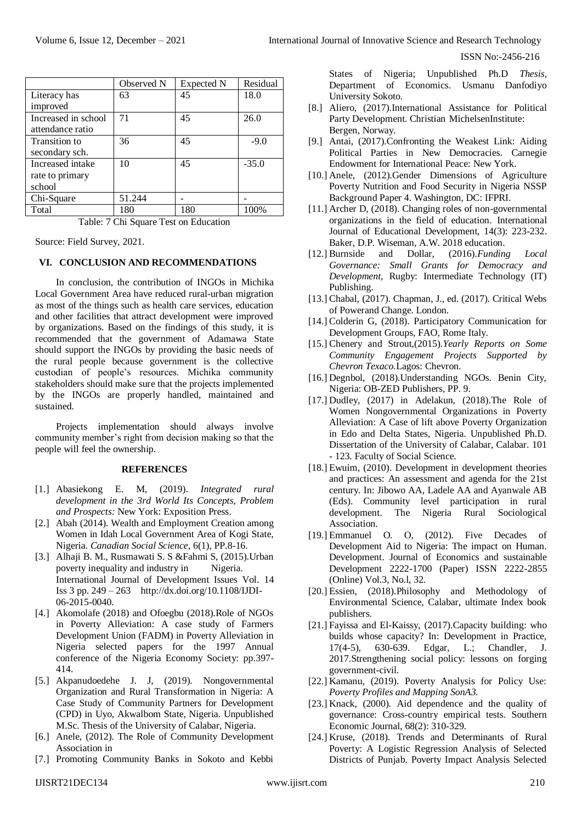| International Journal of Innovative Science and Research Technology |  |
|---------------------------------------------------------------------|--|
|---------------------------------------------------------------------|--|

|                                                                                                                                                                                                                                                                                                                                                                                                                                                                                        | Observed N | Expected N | Residual |
|----------------------------------------------------------------------------------------------------------------------------------------------------------------------------------------------------------------------------------------------------------------------------------------------------------------------------------------------------------------------------------------------------------------------------------------------------------------------------------------|------------|------------|----------|
| Literacy has                                                                                                                                                                                                                                                                                                                                                                                                                                                                           | 63         | 45         | 18.0     |
| improved                                                                                                                                                                                                                                                                                                                                                                                                                                                                               |            |            |          |
| Increased in school                                                                                                                                                                                                                                                                                                                                                                                                                                                                    | 71         | 45         | 26.0     |
| attendance ratio                                                                                                                                                                                                                                                                                                                                                                                                                                                                       |            |            |          |
| Transition to                                                                                                                                                                                                                                                                                                                                                                                                                                                                          | 36         | 45         | $-9.0$   |
| secondary sch.                                                                                                                                                                                                                                                                                                                                                                                                                                                                         |            |            |          |
| Increased intake                                                                                                                                                                                                                                                                                                                                                                                                                                                                       | 10         | 45         | $-35.0$  |
| rate to primary                                                                                                                                                                                                                                                                                                                                                                                                                                                                        |            |            |          |
| school                                                                                                                                                                                                                                                                                                                                                                                                                                                                                 |            |            |          |
| Chi-Square                                                                                                                                                                                                                                                                                                                                                                                                                                                                             | 51.244     |            |          |
| Total                                                                                                                                                                                                                                                                                                                                                                                                                                                                                  | 180        | 180        | 100%     |
| $\mathbf{T} \cdot \mathbf{1} \cdot \mathbf{1} \cdot \mathbf{1} \cdot \mathbf{1} \cdot \mathbf{1} \cdot \mathbf{1} \cdot \mathbf{1} \cdot \mathbf{1} \cdot \mathbf{1} \cdot \mathbf{1} \cdot \mathbf{1} \cdot \mathbf{1} \cdot \mathbf{1} \cdot \mathbf{1} \cdot \mathbf{1} \cdot \mathbf{1} \cdot \mathbf{1} \cdot \mathbf{1} \cdot \mathbf{1} \cdot \mathbf{1} \cdot \mathbf{1} \cdot \mathbf{1} \cdot \mathbf{1} \cdot \mathbf{1} \cdot \mathbf{1} \cdot \mathbf{1} \cdot \mathbf{1$ |            |            |          |

Table: 7 Chi Square Test on Education

Source: Field Survey, 2021.

#### **VI. CONCLUSION AND RECOMMENDATIONS**

In conclusion, the contribution of INGOs in Michika Local Government Area have reduced rural-urban migration as most of the things such as health care services, education and other facilities that attract development were improved by organizations. Based on the findings of this study, it is recommended that the government of Adamawa State should support the INGOs by providing the basic needs of the rural people because government is the collective custodian of people's resources. Michika community stakeholders should make sure that the projects implemented by the INGOs are properly handled, maintained and sustained.

Projects implementation should always involve community member's right from decision making so that the people will feel the ownership.

#### **REFERENCES**

- [1.] Abasiekong E. M, (2019). *Integrated rural development in the 3rd World Its Concepts, Problem and Prospects:* New York: Exposition Press.
- [2.] Abah (2014). Wealth and Employment Creation among Women in Idah Local Government Area of Kogi State, Nigeria. *Canadian Social Science,* 6(1), PP.8-16.
- [3.] Alhaji B. M., Rusmawati S. S &Fahmi S, (2015).Urban poverty inequality and industry in Nigeria. International Journal of Development Issues Vol. 14 Iss 3 pp. 249 – 263 [http://dx.doi.org/10.1108/IJDI-](http://dx.doi.org/10.1108/IJDI-06-2015-0040)[06-2015-0040.](http://dx.doi.org/10.1108/IJDI-06-2015-0040)
- [4.] Akomolafe (2018) and Ofoegbu (2018).Role of NGOs in Poverty Alleviation: A case study of Farmers Development Union (FADM) in Poverty Alleviation in Nigeria selected papers for the 1997 Annual conference of the Nigeria Economy Society: pp.397- 414.
- [5.] Akpanudoedehe J. J, (2019). Nongovernmental Organization and Rural Transformation in Nigeria: A Case Study of Community Partners for Development (CPD) in Uyo, Akwalbom State, Nigeria. Unpublished M.Sc. Thesis of the University of Calabar, Nigeria.
- [6.] Anele, (2012). The Role of Community Development Association in
- [7.] Promoting Community Banks in Sokoto and Kebbi

States of Nigeria; Unpublished Ph.D *Thesis,*  Department of Economics. Usmanu Danfodiyo University Sokoto.

- [8.] Aliero, (2017).International Assistance for Political Party Development. Christian MichelsenInstitute: Bergen, Norway.
- [9.] Antai, (2017).Confronting the Weakest Link: Aiding Political Parties in New Democracies. Carnegie Endowment for International Peace: New York.
- [10.] Anele, (2012).Gender Dimensions of Agriculture Poverty Nutrition and Food Security in Nigeria NSSP Background Paper 4. Washington, DC: IFPRI.
- [11.] Archer D, (2018). Changing roles of non-governmental organizations in the field of education. International Journal of Educational Development, 14(3): 223-232. Baker, D.P. Wiseman, A.W. 2018 education.
- [12.] Burnside and Dollar, (2016).*Funding Local Governance: Small Grants for Democracy and Development,* Rugby: Intermediate Technology (IT) Publishing.
- [13.] Chabal, (2017). Chapman, J., ed. (2017). Critical Webs of Powerand Change. London.
- [14.] Colderin G, (2018). Participatory Communication for Development Groups, FAO, Rome Italy.
- [15.] Chenery and Strout,(2015).*Yearly Reports on Some Community Engagement Projects Supported by Chevron Texaco.*Lagos: Chevron.
- [16.] Degnbol, (2018).Understanding NGOs. Benin City, Nigeria: OB-ZED Publishers, PP. 9.
- [17.] Dudley, (2017) in Adelakun, (2018). The Role of Women Nongovernmental Organizations in Poverty Alleviation: A Case of lift above Poverty Organization in Edo and Delta States, Nigeria. Unpublished Ph.D. Dissertation of the University of Calabar, Calabar. 101 - 123. Faculty of Social Science.
- [18.] Ewuim, (2010). Development in development theories and practices: An assessment and agenda for the 21st century. In: Jibowo AA, Ladele AA and Ayanwale AB (Eds). Community level participation in rural development. The Nigeria Rural Sociological Association.
- [19.] Emmanuel O. O, (2012). Five Decades of Development Aid to Nigeria: The impact on Human. Development. Journal of Economics and sustainable Development 2222-1700 (Paper) ISSN 2222-2855 (Online) Vol.3, No.l, 32.
- [20.] Essien, (2018).Philosophy and Methodology of Environmental Science, Calabar, ultimate Index book publishers.
- [21.] Fayissa and El-Kaissy, (2017).Capacity building: who builds whose capacity? In: Development in Practice, 17(4-5), 630-639. Edgar, L.; Chandler, J. 2017.Strengthening social policy: lessons on forging government-civil.
- [22.] Kamanu, (2019). Poverty Analysis for Policy Use: *Poverty Profiles and Mapping SonA3.*
- [23.] Knack, (2000). Aid dependence and the quality of governance: Cross-country empirical tests. Southern Economic Journal, 68(2): 310-329.
- [24.] Kruse, (2018). Trends and Determinants of Rural Poverty: A Logistic Regression Analysis of Selected Districts of Punjab. Poverty Impact Analysis Selected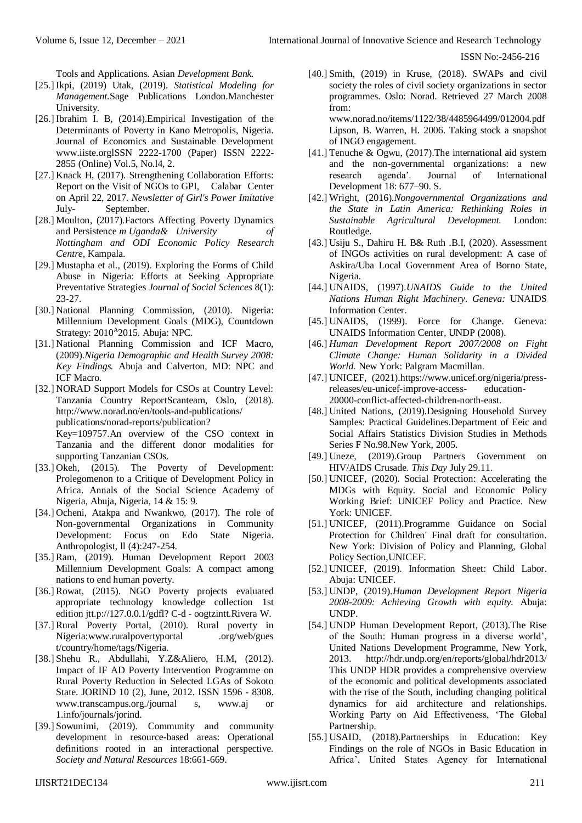Tools and Applications. Asian *Development Bank.*

- [25.] Ikpi, (2019) Utak, (2019). *Statistical Modeling for Management.*Sage Publications London.Manchester University.
- [26.] Ibrahim I. B, (2014).Empirical Investigation of the Determinants of Poverty in Kano Metropolis, Nigeria. Journal of Economics and Sustainable Development [www.iiste.orglSSN](http://www.iiste.orglssn/) 2222-1700 (Paper) ISSN 2222- 2855 (Online) Vol.5, No.l4, 2.
- [27.] Knack H, (2017). Strengthening Collaboration Efforts: Report on the Visit of NGOs to GPI, Calabar Center on April 22, 2017. *Newsletter of Girl's Power Imitative*  July- September.
- [28.] Moulton, (2017). Factors Affecting Poverty Dynamics and Persistence *m Uganda& University of Nottingham and ODI Economic Policy Research Centre,* Kampala.
- [29.] Mustapha et al., (2019). Exploring the Forms of Child Abuse in Nigeria: Efforts at Seeking Appropriate Preventative Strategies *Journal of Social Sciences* 8(1): 23-27.
- [30.] National Planning Commission, (2010). Nigeria: Millennium Development Goals (MDG), Countdown Strategy: 2010<sup>A</sup>2015. Abuja: NPC.
- [31.] National Planning Commission and ICF Macro, (2009).*Nigeria Demographic and Health Survey 2008: Key Findings.* Abuja and Calverton, MD: NPC and ICF Macro.
- [32.] NORAD Support Models for CSOs at Country Level: Tanzania Country ReportScanteam, Oslo, (2018). http://www.norad.no/en/tools-and-publications/ publications/norad-reports/publication? Key=109757.An overview of the CSO context in Tanzania and the different donor modalities for supporting Tanzanian CSOs.
- [33.] Okeh, (2015). The Poverty of Development: Prolegomenon to a Critique of Development Policy in Africa. Annals of the Social Science Academy of Nigeria, Abuja, Nigeria, 14 & 15: 9.
- [34.] Ocheni, Atakpa and Nwankwo, (2017). The role of Non-governmental Organizations in Community Development: Focus on Edo State Nigeria. Anthropologist, ll (4):247-254.
- [35.] Ram, (2019). Human Development Report 2003 Millennium Development Goals: A compact among nations to end human poverty.
- [36.] Rowat, (2015). NGO Poverty projects evaluated appropriate technology knowledge collection 1st edition jtt.p://127.0.0.1/gdfl? C-d - oogtzintt.Rivera W.
- [37.] Rural Poverty Portal, (2010). Rural poverty in Nigeria[:www.ruralpov](http://www.ruralpo/)ertyportal .org/web/gues t/country/home/tags/Nigeria.
- [38.] Shehu R., Abdullahi, Y.Z&Aliero, H.M, (2012). Impact of IF AD Poverty Intervention Programme on Rural Poverty Reduction in Selected LGAs of Sokoto State. JORIND 10 (2), June, 2012. ISSN 1596 - 8308. [www.transcampus.org./journal](http://www.transcampus.org./journal) s, [www.aj o](http://www.aj/)r 1.info/journals/jorind.
- [39.] Sowunimi, (2019). Community and community development in resource-based areas: Operational definitions rooted in an interactional perspective. *Society and Natural Resources* 18:661-669.
- [40.] Smith, (2019) in Kruse, (2018). SWAPs and civil society the roles of civil society organizations in sector programmes. Oslo: Norad. Retrieved 27 March 2008 from: www.norad.no/items/1122/38/4485964499/012004.pdf Lipson, B. Warren, H. 2006. Taking stock a snapshot
- of INGO engagement. [41.] Tenuche & Ogwu, (2017).The international aid system and the non-governmental organizations: a new research agenda'. Journal of International Development 18: 677–90. S.
- [42.] Wright, (2016).*Nongovernmental Organizations and the State in Latin America: Rethinking Roles in Sustainable Agricultural Development.* London: Routledge.
- [43.] Usiju S., Dahiru H. B& Ruth .B.I, (2020). Assessment of INGOs activities on rural development: A case of Askira/Uba Local Government Area of Borno State, Nigeria.
- [44.] UNAIDS, (1997).*UNAIDS Guide to the United Nations Human Right Machinery. Geneva:* UNAIDS Information Center.
- [45.] UNAIDS, (1999). Force for Change. Geneva: UNAIDS Information Center, UNDP (2008).
- [46.] *Human Development Report 2007/2008 on Fight Climate Change: Human Solidarity in a Divided World.* New York: Palgram Macmillan.
- [47.] UNICEF, (2021[\).https://www.unicef.org/nigeria/press](https://www.unicef.org/nigeria/press-releases/eu-unicef-improve-access-)[releases/eu-unicef-improve-access-](https://www.unicef.org/nigeria/press-releases/eu-unicef-improve-access-) education-20000-conflict-affected-children-north-east.
- [48.] United Nations, (2019). Designing Household Survey Samples: Practical Guidelines.Department of Eeic and Social Affairs Statistics Division Studies in Methods Series F No.98.New York, 2005.
- [49.] Uneze, (2019).Group Partners Government on HIV/AIDS Crusade. *This Day* July 29.11.
- [50.] UNICEF, (2020). Social Protection: Accelerating the MDGs with Equity. Social and Economic Policy Working Brief: UNICEF Policy and Practice. New York: UNICEF.
- [51.] UNICEF, (2011).Programme Guidance on Social Protection for Children' Final draft for consultation. New York: Division of Policy and Planning, Global Policy Section,UNICEF.
- [52.] UNICEF, (2019). Information Sheet: Child Labor. Abuja: UNICEF.
- [53.] UNDP, (2019).*Human Development Report Nigeria 2008-2009: Achieving Growth with equity.* Abuja: UNDP.
- [54.] UNDP Human Development Report, (2013).The Rise of the South: Human progress in a diverse world', United Nations Development Programme, New York, 2013. http://hdr.undp.org/en/reports/global/hdr2013/ This UNDP HDR provides a comprehensive overview of the economic and political developments associated with the rise of the South, including changing political dynamics for aid architecture and relationships. Working Party on Aid Effectiveness, 'The Global Partnership.
- [55.] USAID, (2018).Partnerships in Education: Key Findings on the role of NGOs in Basic Education in Africa', United States Agency for International